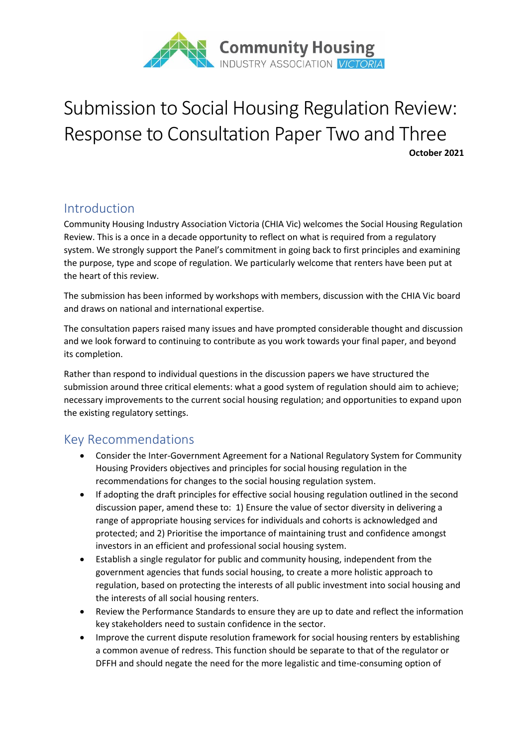

# Submission to Social Housing Regulation Review: Response to Consultation Paper Two and Three **October 2021**

### Introduction

Community Housing Industry Association Victoria (CHIA Vic) welcomes the Social Housing Regulation Review. This is a once in a decade opportunity to reflect on what is required from a regulatory system. We strongly support the Panel's commitment in going back to first principles and examining the purpose, type and scope of regulation. We particularly welcome that renters have been put at the heart of this review.

The submission has been informed by workshops with members, discussion with the CHIA Vic board and draws on national and international expertise.

The consultation papers raised many issues and have prompted considerable thought and discussion and we look forward to continuing to contribute as you work towards your final paper, and beyond its completion.

Rather than respond to individual questions in the discussion papers we have structured the submission around three critical elements: what a good system of regulation should aim to achieve; necessary improvements to the current social housing regulation; and opportunities to expand upon the existing regulatory settings.

### Key Recommendations

- Consider the Inter-Government Agreement for a National Regulatory System for Community Housing Providers objectives and principles for social housing regulation in the recommendations for changes to the social housing regulation system.
- If adopting the draft principles for effective social housing regulation outlined in the second discussion paper, amend these to: 1) Ensure the value of sector diversity in delivering a range of appropriate housing services for individuals and cohorts is acknowledged and protected; and 2) Prioritise the importance of maintaining trust and confidence amongst investors in an efficient and professional social housing system.
- Establish a single regulator for public and community housing, independent from the government agencies that funds social housing, to create a more holistic approach to regulation, based on protecting the interests of all public investment into social housing and the interests of all social housing renters.
- Review the Performance Standards to ensure they are up to date and reflect the information key stakeholders need to sustain confidence in the sector.
- Improve the current dispute resolution framework for social housing renters by establishing a common avenue of redress. This function should be separate to that of the regulator or DFFH and should negate the need for the more legalistic and time-consuming option of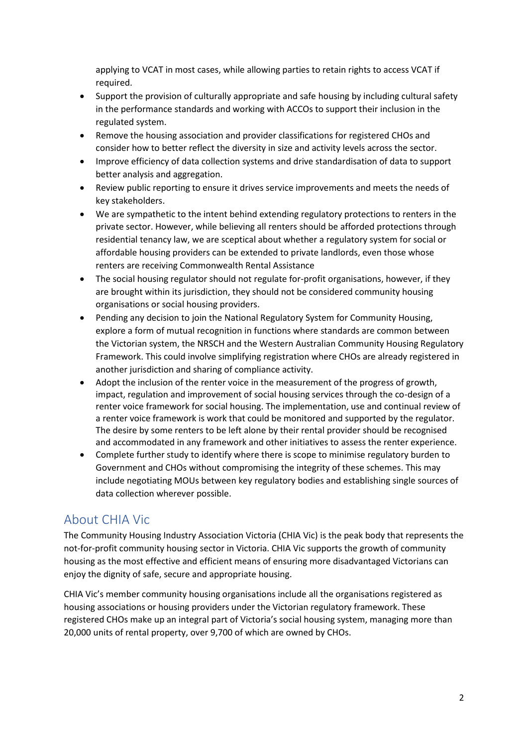applying to VCAT in most cases, while allowing parties to retain rights to access VCAT if required.

- Support the provision of culturally appropriate and safe housing by including cultural safety in the performance standards and working with ACCOs to support their inclusion in the regulated system.
- Remove the housing association and provider classifications for registered CHOs and consider how to better reflect the diversity in size and activity levels across the sector.
- Improve efficiency of data collection systems and drive standardisation of data to support better analysis and aggregation.
- Review public reporting to ensure it drives service improvements and meets the needs of key stakeholders.
- We are sympathetic to the intent behind extending regulatory protections to renters in the private sector. However, while believing all renters should be afforded protections through residential tenancy law, we are sceptical about whether a regulatory system for social or affordable housing providers can be extended to private landlords, even those whose renters are receiving Commonwealth Rental Assistance
- The social housing regulator should not regulate for-profit organisations, however, if they are brought within its jurisdiction, they should not be considered community housing organisations or social housing providers.
- Pending any decision to join the National Regulatory System for Community Housing, explore a form of mutual recognition in functions where standards are common between the Victorian system, the NRSCH and the Western Australian Community Housing Regulatory Framework. This could involve simplifying registration where CHOs are already registered in another jurisdiction and sharing of compliance activity.
- Adopt the inclusion of the renter voice in the measurement of the progress of growth, impact, regulation and improvement of social housing services through the co-design of a renter voice framework for social housing. The implementation, use and continual review of a renter voice framework is work that could be monitored and supported by the regulator. The desire by some renters to be left alone by their rental provider should be recognised and accommodated in any framework and other initiatives to assess the renter experience.
- Complete further study to identify where there is scope to minimise regulatory burden to Government and CHOs without compromising the integrity of these schemes. This may include negotiating MOUs between key regulatory bodies and establishing single sources of data collection wherever possible.

# About CHIA Vic

The Community Housing Industry Association Victoria (CHIA Vic) is the peak body that represents the not-for-profit community housing sector in Victoria. CHIA Vic supports the growth of community housing as the most effective and efficient means of ensuring more disadvantaged Victorians can enjoy the dignity of safe, secure and appropriate housing.

CHIA Vic's member community housing organisations include all the organisations registered as housing associations or housing providers under the Victorian regulatory framework. These registered CHOs make up an integral part of Victoria's social housing system, managing more than 20,000 units of rental property, over 9,700 of which are owned by CHOs.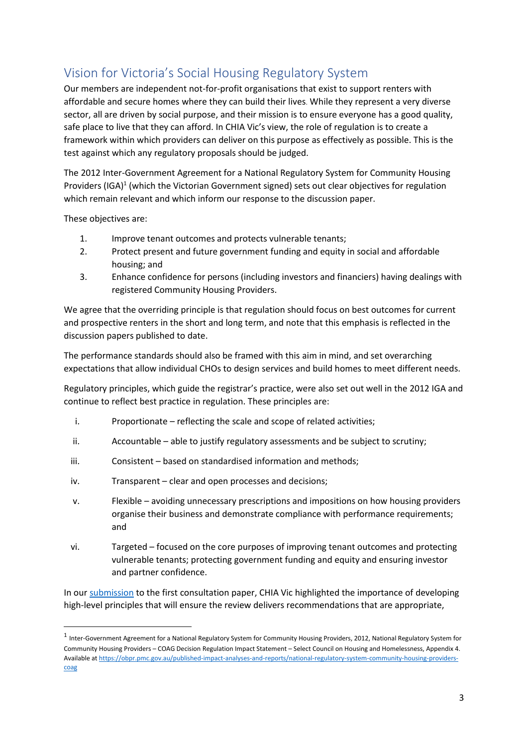# Vision for Victoria's Social Housing Regulatory System

Our members are independent not-for-profit organisations that exist to support renters with affordable and secure homes where they can build their lives. While they represent a very diverse sector, all are driven by social purpose, and their mission is to ensure everyone has a good quality, safe place to live that they can afford. In CHIA Vic's view, the role of regulation is to create a framework within which providers can deliver on this purpose as effectively as possible. This is the test against which any regulatory proposals should be judged.

The 2012 Inter-Government Agreement for a National Regulatory System for Community Housing Providers (IGA)<sup>1</sup> (which the Victorian Government signed) sets out clear objectives for regulation which remain relevant and which inform our response to the discussion paper.

These objectives are:

- 1. Improve tenant outcomes and protects vulnerable tenants;
- 2. Protect present and future government funding and equity in social and affordable housing; and
- 3. Enhance confidence for persons (including investors and financiers) having dealings with registered Community Housing Providers.

We agree that the overriding principle is that regulation should focus on best outcomes for current and prospective renters in the short and long term, and note that this emphasis is reflected in the discussion papers published to date.

The performance standards should also be framed with this aim in mind, and set overarching expectations that allow individual CHOs to design services and build homes to meet different needs.

Regulatory principles, which guide the registrar's practice, were also set out well in the 2012 IGA and continue to reflect best practice in regulation. These principles are:

- i. Proportionate reflecting the scale and scope of related activities;
- ii. Accountable able to justify regulatory assessments and be subject to scrutiny;
- iii. Consistent based on standardised information and methods;
- iv. Transparent clear and open processes and decisions;
- v. Flexible avoiding unnecessary prescriptions and impositions on how housing providers organise their business and demonstrate compliance with performance requirements; and
- vi. Targeted focused on the core purposes of improving tenant outcomes and protecting vulnerable tenants; protecting government funding and equity and ensuring investor and partner confidence.

In our [submission](https://engage.vic.gov.au/download_file/53399/5281) to the first consultation paper, CHIA Vic highlighted the importance of developing high-level principles that will ensure the review delivers recommendations that are appropriate,

<sup>&</sup>lt;sup>1</sup> Inter-Government Agreement for a National Regulatory System for Community Housing Providers, 2012, National Regulatory System for Community Housing Providers – COAG Decision Regulation Impact Statement – Select Council on Housing and Homelessness, Appendix 4. Available a[t https://obpr.pmc.gov.au/published-impact-analyses-and-reports/national-regulatory-system-community-housing-providers](https://obpr.pmc.gov.au/published-impact-analyses-and-reports/national-regulatory-system-community-housing-providers-coag)[coag](https://obpr.pmc.gov.au/published-impact-analyses-and-reports/national-regulatory-system-community-housing-providers-coag)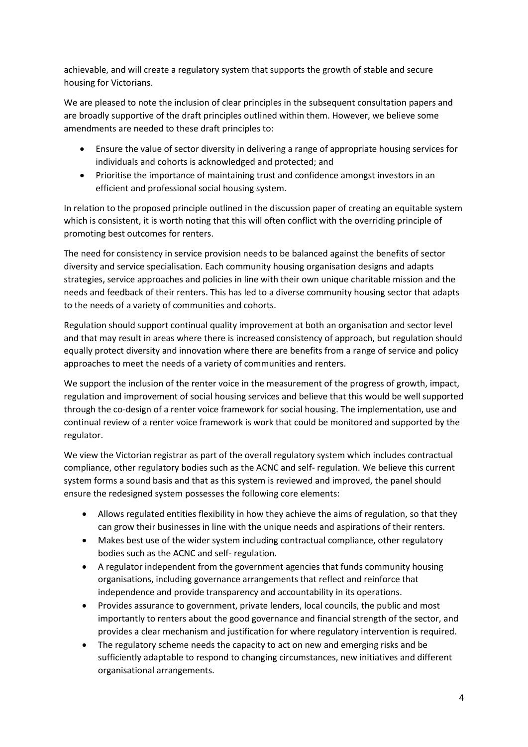achievable, and will create a regulatory system that supports the growth of stable and secure housing for Victorians.

We are pleased to note the inclusion of clear principles in the subsequent consultation papers and are broadly supportive of the draft principles outlined within them. However, we believe some amendments are needed to these draft principles to:

- Ensure the value of sector diversity in delivering a range of appropriate housing services for individuals and cohorts is acknowledged and protected; and
- Prioritise the importance of maintaining trust and confidence amongst investors in an efficient and professional social housing system.

In relation to the proposed principle outlined in the discussion paper of creating an equitable system which is consistent, it is worth noting that this will often conflict with the overriding principle of promoting best outcomes for renters.

The need for consistency in service provision needs to be balanced against the benefits of sector diversity and service specialisation. Each community housing organisation designs and adapts strategies, service approaches and policies in line with their own unique charitable mission and the needs and feedback of their renters. This has led to a diverse community housing sector that adapts to the needs of a variety of communities and cohorts.

Regulation should support continual quality improvement at both an organisation and sector level and that may result in areas where there is increased consistency of approach, but regulation should equally protect diversity and innovation where there are benefits from a range of service and policy approaches to meet the needs of a variety of communities and renters.

We support the inclusion of the renter voice in the measurement of the progress of growth, impact, regulation and improvement of social housing services and believe that this would be well supported through the co-design of a renter voice framework for social housing. The implementation, use and continual review of a renter voice framework is work that could be monitored and supported by the regulator.

We view the Victorian registrar as part of the overall regulatory system which includes contractual compliance, other regulatory bodies such as the ACNC and self- regulation. We believe this current system forms a sound basis and that as this system is reviewed and improved, the panel should ensure the redesigned system possesses the following core elements:

- Allows regulated entities flexibility in how they achieve the aims of regulation, so that they can grow their businesses in line with the unique needs and aspirations of their renters.
- Makes best use of the wider system including contractual compliance, other regulatory bodies such as the ACNC and self- regulation.
- A regulator independent from the government agencies that funds community housing organisations, including governance arrangements that reflect and reinforce that independence and provide transparency and accountability in its operations.
- Provides assurance to government, private lenders, local councils, the public and most importantly to renters about the good governance and financial strength of the sector, and provides a clear mechanism and justification for where regulatory intervention is required.
- The regulatory scheme needs the capacity to act on new and emerging risks and be sufficiently adaptable to respond to changing circumstances, new initiatives and different organisational arrangements.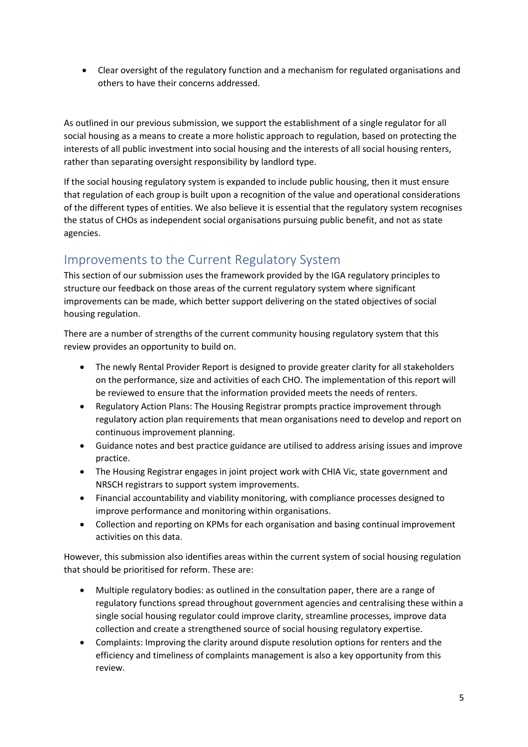• Clear oversight of the regulatory function and a mechanism for regulated organisations and others to have their concerns addressed.

As outlined in our previous submission, we support the establishment of a single regulator for all social housing as a means to create a more holistic approach to regulation, based on protecting the interests of all public investment into social housing and the interests of all social housing renters, rather than separating oversight responsibility by landlord type.

If the social housing regulatory system is expanded to include public housing, then it must ensure that regulation of each group is built upon a recognition of the value and operational considerations of the different types of entities. We also believe it is essential that the regulatory system recognises the status of CHOs as independent social organisations pursuing public benefit, and not as state agencies.

### Improvements to the Current Regulatory System

This section of our submission uses the framework provided by the IGA regulatory principles to structure our feedback on those areas of the current regulatory system where significant improvements can be made, which better support delivering on the stated objectives of social housing regulation.

There are a number of strengths of the current community housing regulatory system that this review provides an opportunity to build on.

- The newly Rental Provider Report is designed to provide greater clarity for all stakeholders on the performance, size and activities of each CHO. The implementation of this report will be reviewed to ensure that the information provided meets the needs of renters.
- Regulatory Action Plans: The Housing Registrar prompts practice improvement through regulatory action plan requirements that mean organisations need to develop and report on continuous improvement planning.
- Guidance notes and best practice guidance are utilised to address arising issues and improve practice.
- The Housing Registrar engages in joint project work with CHIA Vic, state government and NRSCH registrars to support system improvements.
- Financial accountability and viability monitoring, with compliance processes designed to improve performance and monitoring within organisations.
- Collection and reporting on KPMs for each organisation and basing continual improvement activities on this data.

However, this submission also identifies areas within the current system of social housing regulation that should be prioritised for reform. These are:

- Multiple regulatory bodies: as outlined in the consultation paper, there are a range of regulatory functions spread throughout government agencies and centralising these within a single social housing regulator could improve clarity, streamline processes, improve data collection and create a strengthened source of social housing regulatory expertise.
- Complaints: Improving the clarity around dispute resolution options for renters and the efficiency and timeliness of complaints management is also a key opportunity from this review.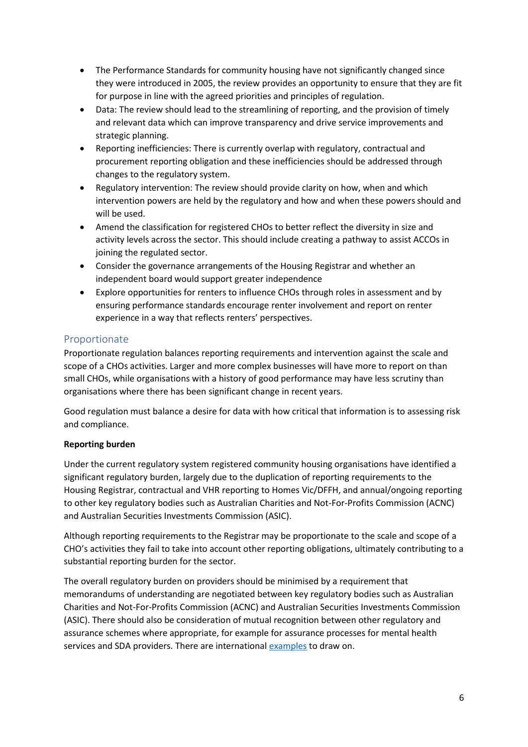- The Performance Standards for community housing have not significantly changed since they were introduced in 2005, the review provides an opportunity to ensure that they are fit for purpose in line with the agreed priorities and principles of regulation.
- Data: The review should lead to the streamlining of reporting, and the provision of timely and relevant data which can improve transparency and drive service improvements and strategic planning.
- Reporting inefficiencies: There is currently overlap with regulatory, contractual and procurement reporting obligation and these inefficiencies should be addressed through changes to the regulatory system.
- Regulatory intervention: The review should provide clarity on how, when and which intervention powers are held by the regulatory and how and when these powers should and will be used.
- Amend the classification for registered CHOs to better reflect the diversity in size and activity levels across the sector. This should include creating a pathway to assist ACCOs in joining the regulated sector.
- Consider the governance arrangements of the Housing Registrar and whether an independent board would support greater independence
- Explore opportunities for renters to influence CHOs through roles in assessment and by ensuring performance standards encourage renter involvement and report on renter experience in a way that reflects renters' perspectives.

#### Proportionate

Proportionate regulation balances reporting requirements and intervention against the scale and scope of a CHOs activities. Larger and more complex businesses will have more to report on than small CHOs, while organisations with a history of good performance may have less scrutiny than organisations where there has been significant change in recent years.

Good regulation must balance a desire for data with how critical that information is to assessing risk and compliance.

#### **Reporting burden**

Under the current regulatory system registered community housing organisations have identified a significant regulatory burden, largely due to the duplication of reporting requirements to the Housing Registrar, contractual and VHR reporting to Homes Vic/DFFH, and annual/ongoing reporting to other key regulatory bodies such as Australian Charities and Not-For-Profits Commission (ACNC) and Australian Securities Investments Commission (ASIC).

Although reporting requirements to the Registrar may be proportionate to the scale and scope of a CHO's activities they fail to take into account other reporting obligations, ultimately contributing to a substantial reporting burden for the sector.

The overall regulatory burden on providers should be minimised by a requirement that memorandums of understanding are negotiated between key regulatory bodies such as Australian Charities and Not-For-Profits Commission (ACNC) and Australian Securities Investments Commission (ASIC). There should also be consideration of mutual recognition between other regulatory and assurance schemes where appropriate, for example for assurance processes for mental health services and SDA providers. There are internationa[l examples](https://www.housingregulator.gov.scot/about-us/what-we-do/how-we-work-with-other-bodies/memoranda-of-understanding-mou) to draw on.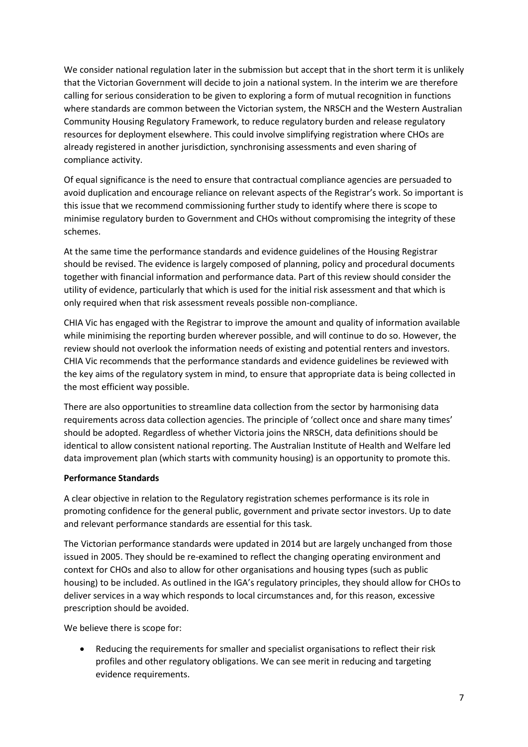We consider national regulation later in the submission but accept that in the short term it is unlikely that the Victorian Government will decide to join a national system. In the interim we are therefore calling for serious consideration to be given to exploring a form of mutual recognition in functions where standards are common between the Victorian system, the NRSCH and the Western Australian Community Housing Regulatory Framework, to reduce regulatory burden and release regulatory resources for deployment elsewhere. This could involve simplifying registration where CHOs are already registered in another jurisdiction, synchronising assessments and even sharing of compliance activity.

Of equal significance is the need to ensure that contractual compliance agencies are persuaded to avoid duplication and encourage reliance on relevant aspects of the Registrar's work. So important is this issue that we recommend commissioning further study to identify where there is scope to minimise regulatory burden to Government and CHOs without compromising the integrity of these schemes.

At the same time the performance standards and evidence guidelines of the Housing Registrar should be revised. The evidence is largely composed of planning, policy and procedural documents together with financial information and performance data. Part of this review should consider the utility of evidence, particularly that which is used for the initial risk assessment and that which is only required when that risk assessment reveals possible non-compliance.

CHIA Vic has engaged with the Registrar to improve the amount and quality of information available while minimising the reporting burden wherever possible, and will continue to do so. However, the review should not overlook the information needs of existing and potential renters and investors. CHIA Vic recommends that the performance standards and evidence guidelines be reviewed with the key aims of the regulatory system in mind, to ensure that appropriate data is being collected in the most efficient way possible.

There are also opportunities to streamline data collection from the sector by harmonising data requirements across data collection agencies. The principle of 'collect once and share many times' should be adopted. Regardless of whether Victoria joins the NRSCH, data definitions should be identical to allow consistent national reporting. The Australian Institute of Health and Welfare led data improvement plan (which starts with community housing) is an opportunity to promote this.

#### **Performance Standards**

A clear objective in relation to the Regulatory registration schemes performance is its role in promoting confidence for the general public, government and private sector investors. Up to date and relevant performance standards are essential for this task.

The Victorian performance standards were updated in 2014 but are largely unchanged from those issued in 2005. They should be re-examined to reflect the changing operating environment and context for CHOs and also to allow for other organisations and housing types (such as public housing) to be included. As outlined in the IGA's regulatory principles, they should allow for CHOs to deliver services in a way which responds to local circumstances and, for this reason, excessive prescription should be avoided.

We believe there is scope for:

• Reducing the requirements for smaller and specialist organisations to reflect their risk profiles and other regulatory obligations. We can see merit in reducing and targeting evidence requirements.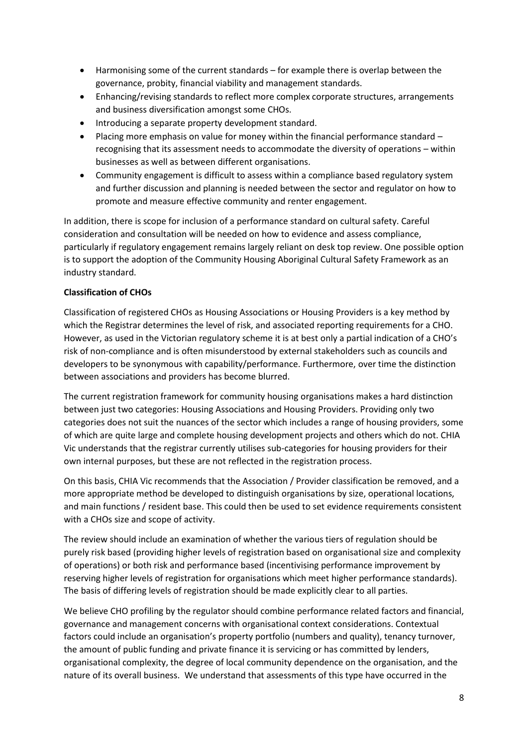- Harmonising some of the current standards for example there is overlap between the governance, probity, financial viability and management standards.
- Enhancing/revising standards to reflect more complex corporate structures, arrangements and business diversification amongst some CHOs.
- Introducing a separate property development standard.
- Placing more emphasis on value for money within the financial performance standard recognising that its assessment needs to accommodate the diversity of operations – within businesses as well as between different organisations.
- Community engagement is difficult to assess within a compliance based regulatory system and further discussion and planning is needed between the sector and regulator on how to promote and measure effective community and renter engagement.

In addition, there is scope for inclusion of a performance standard on cultural safety. Careful consideration and consultation will be needed on how to evidence and assess compliance, particularly if regulatory engagement remains largely reliant on desk top review. One possible option is to support the adoption of the Community Housing Aboriginal Cultural Safety Framework as an industry standard.

#### **Classification of CHOs**

Classification of registered CHOs as Housing Associations or Housing Providers is a key method by which the Registrar determines the level of risk, and associated reporting requirements for a CHO. However, as used in the Victorian regulatory scheme it is at best only a partial indication of a CHO's risk of non-compliance and is often misunderstood by external stakeholders such as councils and developers to be synonymous with capability/performance. Furthermore, over time the distinction between associations and providers has become blurred.

The current registration framework for community housing organisations makes a hard distinction between just two categories: Housing Associations and Housing Providers. Providing only two categories does not suit the nuances of the sector which includes a range of housing providers, some of which are quite large and complete housing development projects and others which do not. CHIA Vic understands that the registrar currently utilises sub-categories for housing providers for their own internal purposes, but these are not reflected in the registration process.

On this basis, CHIA Vic recommends that the Association / Provider classification be removed, and a more appropriate method be developed to distinguish organisations by size, operational locations, and main functions / resident base. This could then be used to set evidence requirements consistent with a CHOs size and scope of activity.

The review should include an examination of whether the various tiers of regulation should be purely risk based (providing higher levels of registration based on organisational size and complexity of operations) or both risk and performance based (incentivising performance improvement by reserving higher levels of registration for organisations which meet higher performance standards). The basis of differing levels of registration should be made explicitly clear to all parties.

We believe CHO profiling by the regulator should combine performance related factors and financial, governance and management concerns with organisational context considerations. Contextual factors could include an organisation's property portfolio (numbers and quality), tenancy turnover, the amount of public funding and private finance it is servicing or has committed by lenders, organisational complexity, the degree of local community dependence on the organisation, and the nature of its overall business. We understand that assessments of this type have occurred in the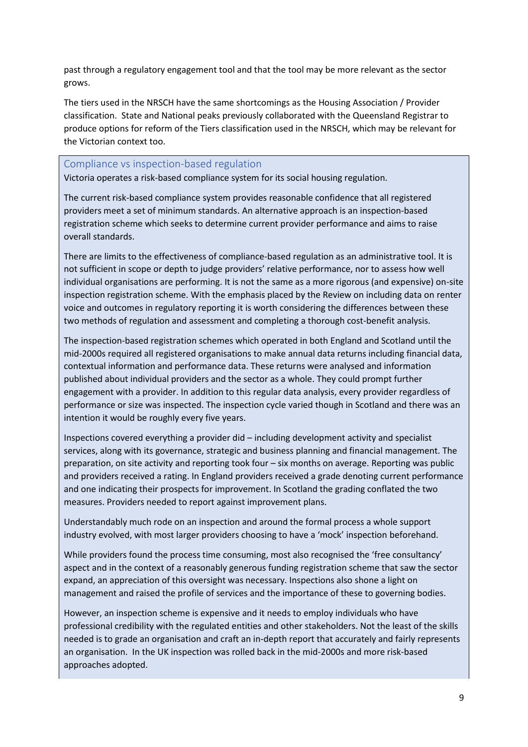past through a regulatory engagement tool and that the tool may be more relevant as the sector grows.

The tiers used in the NRSCH have the same shortcomings as the Housing Association / Provider classification. State and National peaks previously collaborated with the Queensland Registrar to produce options for reform of the Tiers classification used in the NRSCH, which may be relevant for the Victorian context too.

#### Compliance vs inspection-based regulation

Victoria operates a risk-based compliance system for its social housing regulation.

The current risk-based compliance system provides reasonable confidence that all registered providers meet a set of minimum standards. An alternative approach is an inspection-based registration scheme which seeks to determine current provider performance and aims to raise overall standards.

There are limits to the effectiveness of compliance-based regulation as an administrative tool. It is not sufficient in scope or depth to judge providers' relative performance, nor to assess how well individual organisations are performing. It is not the same as a more rigorous (and expensive) on-site inspection registration scheme. With the emphasis placed by the Review on including data on renter voice and outcomes in regulatory reporting it is worth considering the differences between these two methods of regulation and assessment and completing a thorough cost-benefit analysis.

The inspection-based registration schemes which operated in both England and Scotland until the mid-2000s required all registered organisations to make annual data returns including financial data, contextual information and performance data. These returns were analysed and information published about individual providers and the sector as a whole. They could prompt further engagement with a provider. In addition to this regular data analysis, every provider regardless of performance or size was inspected. The inspection cycle varied though in Scotland and there was an intention it would be roughly every five years.

Inspections covered everything a provider did – including development activity and specialist services, along with its governance, strategic and business planning and financial management. The preparation, on site activity and reporting took four – six months on average. Reporting was public and providers received a rating. In England providers received a grade denoting current performance and one indicating their prospects for improvement. In Scotland the grading conflated the two measures. Providers needed to report against improvement plans.

Understandably much rode on an inspection and around the formal process a whole support industry evolved, with most larger providers choosing to have a 'mock' inspection beforehand.

While providers found the process time consuming, most also recognised the 'free consultancy' aspect and in the context of a reasonably generous funding registration scheme that saw the sector expand, an appreciation of this oversight was necessary. Inspections also shone a light on management and raised the profile of services and the importance of these to governing bodies.

However, an inspection scheme is expensive and it needs to employ individuals who have professional credibility with the regulated entities and other stakeholders. Not the least of the skills needed is to grade an organisation and craft an in-depth report that accurately and fairly represents an organisation. In the UK inspection was rolled back in the mid-2000s and more risk-based approaches adopted.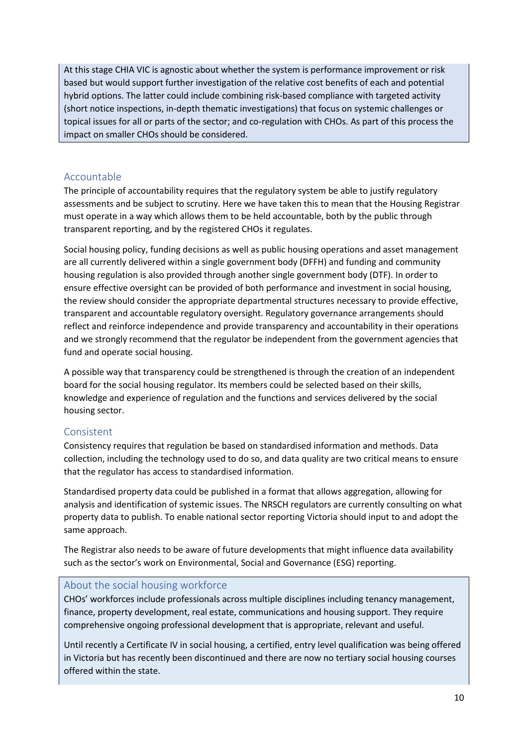At this stage CHIA VIC is agnostic about whether the system is performance improvement or risk based but would support further investigation of the relative cost benefits of each and potential hybrid options. The latter could include combining risk-based compliance with targeted activity (short notice inspections, in-depth thematic investigations) that focus on systemic challenges or topical issues for all or parts of the sector; and co-regulation with CHOs. As part of this process the impact on smaller CHOs should be considered.

#### Accountable

The principle of accountability requires that the regulatory system be able to justify regulatory assessments and be subject to scrutiny. Here we have taken this to mean that the Housing Registrar must operate in a way which allows them to be held accountable, both by the public through transparent reporting, and by the registered CHOs it regulates.

Social housing policy, funding decisions as well as public housing operations and asset management are all currently delivered within a single government body (DFFH) and funding and community housing regulation is also provided through another single government body (DTF). In order to ensure effective oversight can be provided of both performance and investment in social housing, the review should consider the appropriate departmental structures necessary to provide effective, transparent and accountable regulatory oversight. Regulatory governance arrangements should reflect and reinforce independence and provide transparency and accountability in their operations and we strongly recommend that the regulator be independent from the government agencies that fund and operate social housing.

A possible way that transparency could be strengthened is through the creation of an independent board for the social housing regulator. Its members could be selected based on their skills, knowledge and experience of regulation and the functions and services delivered by the social housing sector.

#### Consistent

Consistency requires that regulation be based on standardised information and methods. Data collection, including the technology used to do so, and data quality are two critical means to ensure that the regulator has access to standardised information.

Standardised property data could be published in a format that allows aggregation, allowing for analysis and identification of systemic issues. The NRSCH regulators are currently consulting on what property data to publish. To enable national sector reporting Victoria should input to and adopt the same approach.

The Registrar also needs to be aware of future developments that might influence data availability such as the sector's work on Environmental, Social and Governance (ESG) reporting.

#### About the social housing workforce

CHOs' workforces include professionals across multiple disciplines including tenancy management, finance, property development, real estate, communications and housing support. They require comprehensive ongoing professional development that is appropriate, relevant and useful.

Until recently a Certificate IV in social housing, a certified, entry level qualification was being offered in Victoria but has recently been discontinued and there are now no tertiary social housing courses offered within the state.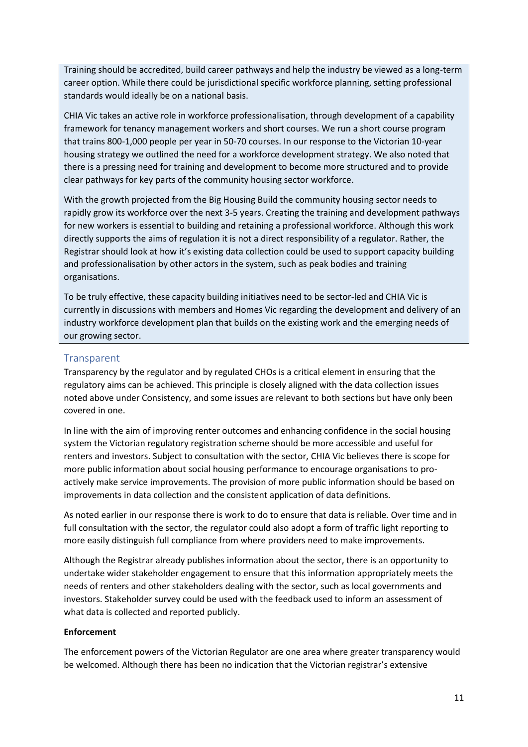Training should be accredited, build career pathways and help the industry be viewed as a long-term career option. While there could be jurisdictional specific workforce planning, setting professional standards would ideally be on a national basis.

CHIA Vic takes an active role in workforce professionalisation, through development of a capability framework for tenancy management workers and short courses. We run a short course program that trains 800-1,000 people per year in 50-70 courses. In our response to the Victorian 10-year housing strategy we outlined the need for a workforce development strategy. We also noted that there is a pressing need for training and development to become more structured and to provide clear pathways for key parts of the community housing sector workforce.

With the growth projected from the Big Housing Build the community housing sector needs to rapidly grow its workforce over the next 3-5 years. Creating the training and development pathways for new workers is essential to building and retaining a professional workforce. Although this work directly supports the aims of regulation it is not a direct responsibility of a regulator. Rather, the Registrar should look at how it's existing data collection could be used to support capacity building and professionalisation by other actors in the system, such as peak bodies and training organisations.

To be truly effective, these capacity building initiatives need to be sector-led and CHIA Vic is currently in discussions with members and Homes Vic regarding the development and delivery of an industry workforce development plan that builds on the existing work and the emerging needs of our growing sector.

#### **Transparent**

Transparency by the regulator and by regulated CHOs is a critical element in ensuring that the regulatory aims can be achieved. This principle is closely aligned with the data collection issues noted above under Consistency, and some issues are relevant to both sections but have only been covered in one.

In line with the aim of improving renter outcomes and enhancing confidence in the social housing system the Victorian regulatory registration scheme should be more accessible and useful for renters and investors. Subject to consultation with the sector, CHIA Vic believes there is scope for more public information about social housing performance to encourage organisations to proactively make service improvements. The provision of more public information should be based on improvements in data collection and the consistent application of data definitions.

As noted earlier in our response there is work to do to ensure that data is reliable. Over time and in full consultation with the sector, the regulator could also adopt a form of traffic light reporting to more easily distinguish full compliance from where providers need to make improvements.

Although the Registrar already publishes information about the sector, there is an opportunity to undertake wider stakeholder engagement to ensure that this information appropriately meets the needs of renters and other stakeholders dealing with the sector, such as local governments and investors. Stakeholder survey could be used with the feedback used to inform an assessment of what data is collected and reported publicly.

#### **Enforcement**

The enforcement powers of the Victorian Regulator are one area where greater transparency would be welcomed. Although there has been no indication that the Victorian registrar's extensive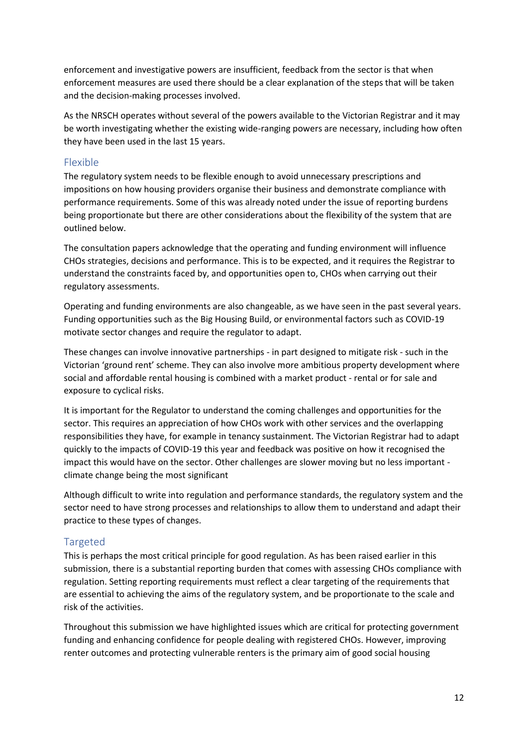enforcement and investigative powers are insufficient, feedback from the sector is that when enforcement measures are used there should be a clear explanation of the steps that will be taken and the decision-making processes involved.

As the NRSCH operates without several of the powers available to the Victorian Registrar and it may be worth investigating whether the existing wide-ranging powers are necessary, including how often they have been used in the last 15 years.

#### Flexible

The regulatory system needs to be flexible enough to avoid unnecessary prescriptions and impositions on how housing providers organise their business and demonstrate compliance with performance requirements. Some of this was already noted under the issue of reporting burdens being proportionate but there are other considerations about the flexibility of the system that are outlined below.

The consultation papers acknowledge that the operating and funding environment will influence CHOs strategies, decisions and performance. This is to be expected, and it requires the Registrar to understand the constraints faced by, and opportunities open to, CHOs when carrying out their regulatory assessments.

Operating and funding environments are also changeable, as we have seen in the past several years. Funding opportunities such as the Big Housing Build, or environmental factors such as COVID-19 motivate sector changes and require the regulator to adapt.

These changes can involve innovative partnerships - in part designed to mitigate risk - such in the Victorian 'ground rent' scheme. They can also involve more ambitious property development where social and affordable rental housing is combined with a market product - rental or for sale and exposure to cyclical risks.

It is important for the Regulator to understand the coming challenges and opportunities for the sector. This requires an appreciation of how CHOs work with other services and the overlapping responsibilities they have, for example in tenancy sustainment. The Victorian Registrar had to adapt quickly to the impacts of COVID-19 this year and feedback was positive on how it recognised the impact this would have on the sector. Other challenges are slower moving but no less important climate change being the most significant

Although difficult to write into regulation and performance standards, the regulatory system and the sector need to have strong processes and relationships to allow them to understand and adapt their practice to these types of changes.

#### Targeted

This is perhaps the most critical principle for good regulation. As has been raised earlier in this submission, there is a substantial reporting burden that comes with assessing CHOs compliance with regulation. Setting reporting requirements must reflect a clear targeting of the requirements that are essential to achieving the aims of the regulatory system, and be proportionate to the scale and risk of the activities.

Throughout this submission we have highlighted issues which are critical for protecting government funding and enhancing confidence for people dealing with registered CHOs. However, improving renter outcomes and protecting vulnerable renters is the primary aim of good social housing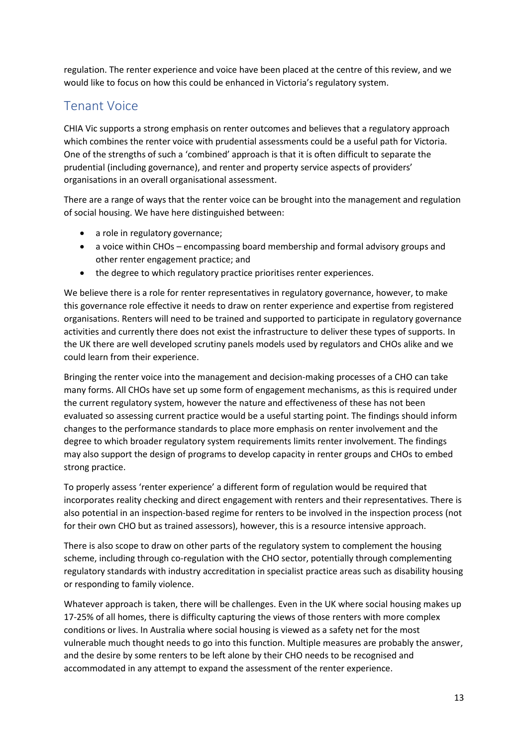regulation. The renter experience and voice have been placed at the centre of this review, and we would like to focus on how this could be enhanced in Victoria's regulatory system.

### Tenant Voice

CHIA Vic supports a strong emphasis on renter outcomes and believes that a regulatory approach which combines the renter voice with prudential assessments could be a useful path for Victoria. One of the strengths of such a 'combined' approach is that it is often difficult to separate the prudential (including governance), and renter and property service aspects of providers' organisations in an overall organisational assessment.

There are a range of ways that the renter voice can be brought into the management and regulation of social housing. We have here distinguished between:

- a role in regulatory governance;
- a voice within CHOs encompassing board membership and formal advisory groups and other renter engagement practice; and
- the degree to which regulatory practice prioritises renter experiences.

We believe there is a role for renter representatives in regulatory governance, however, to make this governance role effective it needs to draw on renter experience and expertise from registered organisations. Renters will need to be trained and supported to participate in regulatory governance activities and currently there does not exist the infrastructure to deliver these types of supports. In the UK there are well developed scrutiny panels models used by regulators and CHOs alike and we could learn from their experience.

Bringing the renter voice into the management and decision-making processes of a CHO can take many forms. All CHOs have set up some form of engagement mechanisms, as this is required under the current regulatory system, however the nature and effectiveness of these has not been evaluated so assessing current practice would be a useful starting point. The findings should inform changes to the performance standards to place more emphasis on renter involvement and the degree to which broader regulatory system requirements limits renter involvement. The findings may also support the design of programs to develop capacity in renter groups and CHOs to embed strong practice.

To properly assess 'renter experience' a different form of regulation would be required that incorporates reality checking and direct engagement with renters and their representatives. There is also potential in an inspection-based regime for renters to be involved in the inspection process (not for their own CHO but as trained assessors), however, this is a resource intensive approach.

There is also scope to draw on other parts of the regulatory system to complement the housing scheme, including through co-regulation with the CHO sector, potentially through complementing regulatory standards with industry accreditation in specialist practice areas such as disability housing or responding to family violence.

Whatever approach is taken, there will be challenges. Even in the UK where social housing makes up 17-25% of all homes, there is difficulty capturing the views of those renters with more complex conditions or lives. In Australia where social housing is viewed as a safety net for the most vulnerable much thought needs to go into this function. Multiple measures are probably the answer, and the desire by some renters to be left alone by their CHO needs to be recognised and accommodated in any attempt to expand the assessment of the renter experience.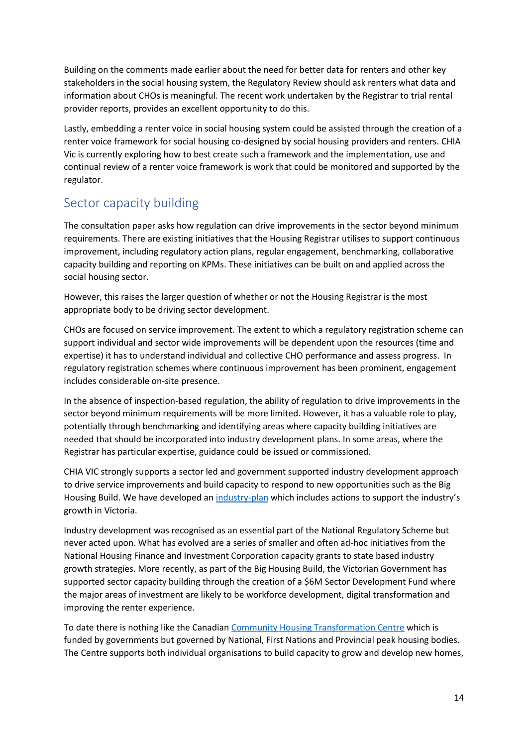Building on the comments made earlier about the need for better data for renters and other key stakeholders in the social housing system, the Regulatory Review should ask renters what data and information about CHOs is meaningful. The recent work undertaken by the Registrar to trial rental provider reports, provides an excellent opportunity to do this.

Lastly, embedding a renter voice in social housing system could be assisted through the creation of a renter voice framework for social housing co-designed by social housing providers and renters. CHIA Vic is currently exploring how to best create such a framework and the implementation, use and continual review of a renter voice framework is work that could be monitored and supported by the regulator.

### Sector capacity building

The consultation paper asks how regulation can drive improvements in the sector beyond minimum requirements. There are existing initiatives that the Housing Registrar utilises to support continuous improvement, including regulatory action plans, regular engagement, benchmarking, collaborative capacity building and reporting on KPMs. These initiatives can be built on and applied across the social housing sector.

However, this raises the larger question of whether or not the Housing Registrar is the most appropriate body to be driving sector development.

CHOs are focused on service improvement. The extent to which a regulatory registration scheme can support individual and sector wide improvements will be dependent upon the resources (time and expertise) it has to understand individual and collective CHO performance and assess progress. In regulatory registration schemes where continuous improvement has been prominent, engagement includes considerable on-site presence.

In the absence of inspection-based regulation, the ability of regulation to drive improvements in the sector beyond minimum requirements will be more limited. However, it has a valuable role to play, potentially through benchmarking and identifying areas where capacity building initiatives are needed that should be incorporated into industry development plans. In some areas, where the Registrar has particular expertise, guidance could be issued or commissioned.

CHIA VIC strongly supports a sector led and government supported industry development approach to drive service improvements and build capacity to respond to new opportunities such as the Big Housing Build. We have developed an [industry-plan](https://chiavic.com.au/resources/industry-plan/) which includes actions to support the industry's growth in Victoria.

Industry development was recognised as an essential part of the National Regulatory Scheme but never acted upon. What has evolved are a series of smaller and often ad-hoc initiatives from the National Housing Finance and Investment Corporation capacity grants to state based industry growth strategies. More recently, as part of the Big Housing Build, the Victorian Government has supported sector capacity building through the creation of a \$6M Sector Development Fund where the major areas of investment are likely to be workforce development, digital transformation and improving the renter experience.

To date there is nothing like the Canadian [Community Housing Transformation Centre](https://centre.support/) which is funded by governments but governed by National, First Nations and Provincial peak housing bodies. The Centre supports both individual organisations to build capacity to grow and develop new homes,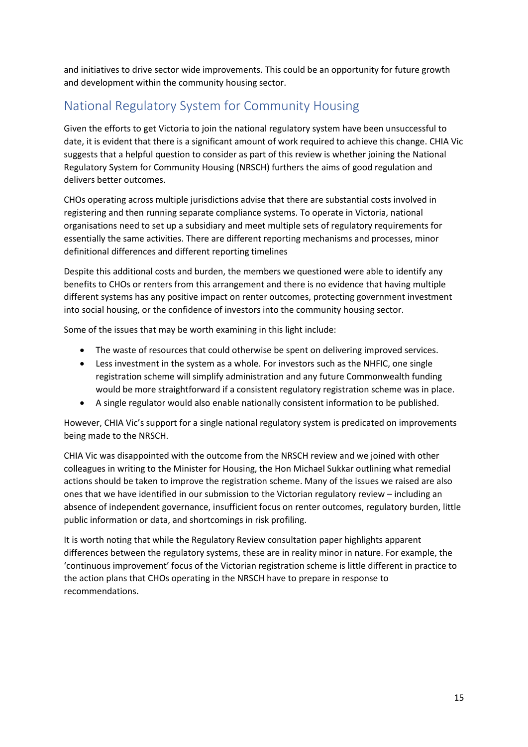and initiatives to drive sector wide improvements. This could be an opportunity for future growth and development within the community housing sector.

### National Regulatory System for Community Housing

Given the efforts to get Victoria to join the national regulatory system have been unsuccessful to date, it is evident that there is a significant amount of work required to achieve this change. CHIA Vic suggests that a helpful question to consider as part of this review is whether joining the National Regulatory System for Community Housing (NRSCH) furthers the aims of good regulation and delivers better outcomes.

CHOs operating across multiple jurisdictions advise that there are substantial costs involved in registering and then running separate compliance systems. To operate in Victoria, national organisations need to set up a subsidiary and meet multiple sets of regulatory requirements for essentially the same activities. There are different reporting mechanisms and processes, minor definitional differences and different reporting timelines

Despite this additional costs and burden, the members we questioned were able to identify any benefits to CHOs or renters from this arrangement and there is no evidence that having multiple different systems has any positive impact on renter outcomes, protecting government investment into social housing, or the confidence of investors into the community housing sector.

Some of the issues that may be worth examining in this light include:

- The waste of resources that could otherwise be spent on delivering improved services.
- Less investment in the system as a whole. For investors such as the NHFIC, one single registration scheme will simplify administration and any future Commonwealth funding would be more straightforward if a consistent regulatory registration scheme was in place.
- A single regulator would also enable nationally consistent information to be published.

However, CHIA Vic's support for a single national regulatory system is predicated on improvements being made to the NRSCH.

CHIA Vic was disappointed with the outcome from the NRSCH review and we joined with other colleagues in writing to the Minister for Housing, the Hon Michael Sukkar outlining what remedial actions should be taken to improve the registration scheme. Many of the issues we raised are also ones that we have identified in our submission to the Victorian regulatory review – including an absence of independent governance, insufficient focus on renter outcomes, regulatory burden, little public information or data, and shortcomings in risk profiling.

It is worth noting that while the Regulatory Review consultation paper highlights apparent differences between the regulatory systems, these are in reality minor in nature. For example, the 'continuous improvement' focus of the Victorian registration scheme is little different in practice to the action plans that CHOs operating in the NRSCH have to prepare in response to recommendations.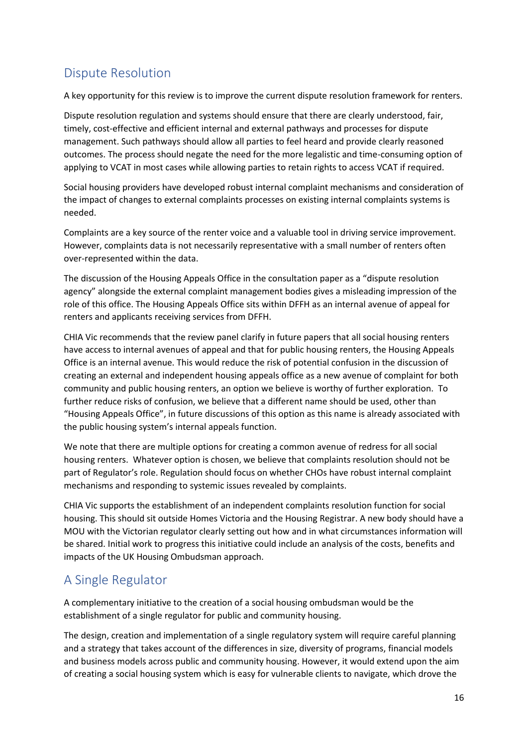# Dispute Resolution

A key opportunity for this review is to improve the current dispute resolution framework for renters.

Dispute resolution regulation and systems should ensure that there are clearly understood, fair, timely, cost-effective and efficient internal and external pathways and processes for dispute management. Such pathways should allow all parties to feel heard and provide clearly reasoned outcomes. The process should negate the need for the more legalistic and time-consuming option of applying to VCAT in most cases while allowing parties to retain rights to access VCAT if required.

Social housing providers have developed robust internal complaint mechanisms and consideration of the impact of changes to external complaints processes on existing internal complaints systems is needed.

Complaints are a key source of the renter voice and a valuable tool in driving service improvement. However, complaints data is not necessarily representative with a small number of renters often over-represented within the data.

The discussion of the Housing Appeals Office in the consultation paper as a "dispute resolution agency" alongside the external complaint management bodies gives a misleading impression of the role of this office. The Housing Appeals Office sits within DFFH as an internal avenue of appeal for renters and applicants receiving services from DFFH.

CHIA Vic recommends that the review panel clarify in future papers that all social housing renters have access to internal avenues of appeal and that for public housing renters, the Housing Appeals Office is an internal avenue. This would reduce the risk of potential confusion in the discussion of creating an external and independent housing appeals office as a new avenue of complaint for both community and public housing renters, an option we believe is worthy of further exploration. To further reduce risks of confusion, we believe that a different name should be used, other than "Housing Appeals Office", in future discussions of this option as this name is already associated with the public housing system's internal appeals function.

We note that there are multiple options for creating a common avenue of redress for all social housing renters. Whatever option is chosen, we believe that complaints resolution should not be part of Regulator's role. Regulation should focus on whether CHOs have robust internal complaint mechanisms and responding to systemic issues revealed by complaints.

CHIA Vic supports the establishment of an independent complaints resolution function for social housing. This should sit outside Homes Victoria and the Housing Registrar. A new body should have a MOU with the Victorian regulator clearly setting out how and in what circumstances information will be shared. Initial work to progress this initiative could include an analysis of the costs, benefits and impacts of the UK Housing Ombudsman approach.

### A Single Regulator

A complementary initiative to the creation of a social housing ombudsman would be the establishment of a single regulator for public and community housing.

The design, creation and implementation of a single regulatory system will require careful planning and a strategy that takes account of the differences in size, diversity of programs, financial models and business models across public and community housing. However, it would extend upon the aim of creating a social housing system which is easy for vulnerable clients to navigate, which drove the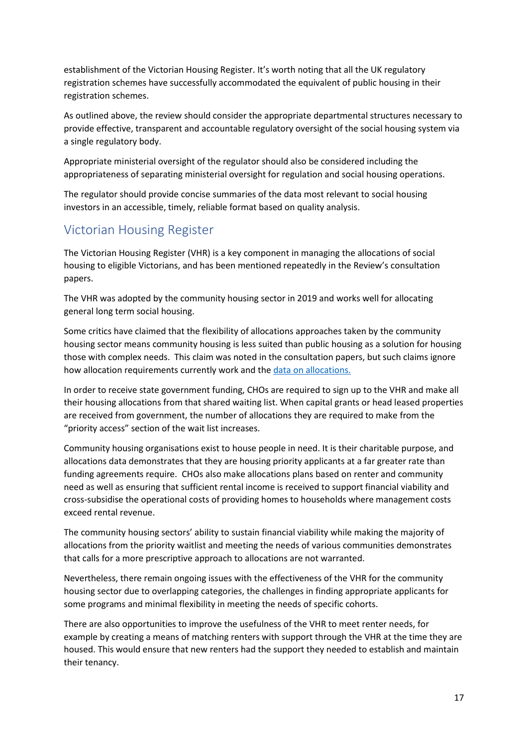establishment of the Victorian Housing Register. It's worth noting that all the UK regulatory registration schemes have successfully accommodated the equivalent of public housing in their registration schemes.

As outlined above, the review should consider the appropriate departmental structures necessary to provide effective, transparent and accountable regulatory oversight of the social housing system via a single regulatory body.

Appropriate ministerial oversight of the regulator should also be considered including the appropriateness of separating ministerial oversight for regulation and social housing operations.

The regulator should provide concise summaries of the data most relevant to social housing investors in an accessible, timely, reliable format based on quality analysis.

### Victorian Housing Register

The Victorian Housing Register (VHR) is a key component in managing the allocations of social housing to eligible Victorians, and has been mentioned repeatedly in the Review's consultation papers.

The VHR was adopted by the community housing sector in 2019 and works well for allocating general long term social housing.

Some critics have claimed that the flexibility of allocations approaches taken by the community housing sector means community housing is less suited than public housing as a solution for housing those with complex needs. This claim was noted in the consultation papers, but such claims ignore how allocation requirements currently work and the [data on allocations.](https://www.vic.gov.au/social-housing-allocation)

In order to receive state government funding, CHOs are required to sign up to the VHR and make all their housing allocations from that shared waiting list. When capital grants or head leased properties are received from government, the number of allocations they are required to make from the "priority access" section of the wait list increases.

Community housing organisations exist to house people in need. It is their charitable purpose, and allocations data demonstrates that they are housing priority applicants at a far greater rate than funding agreements require. CHOs also make allocations plans based on renter and community need as well as ensuring that sufficient rental income is received to support financial viability and cross-subsidise the operational costs of providing homes to households where management costs exceed rental revenue.

The community housing sectors' ability to sustain financial viability while making the majority of allocations from the priority waitlist and meeting the needs of various communities demonstrates that calls for a more prescriptive approach to allocations are not warranted.

Nevertheless, there remain ongoing issues with the effectiveness of the VHR for the community housing sector due to overlapping categories, the challenges in finding appropriate applicants for some programs and minimal flexibility in meeting the needs of specific cohorts.

There are also opportunities to improve the usefulness of the VHR to meet renter needs, for example by creating a means of matching renters with support through the VHR at the time they are housed. This would ensure that new renters had the support they needed to establish and maintain their tenancy.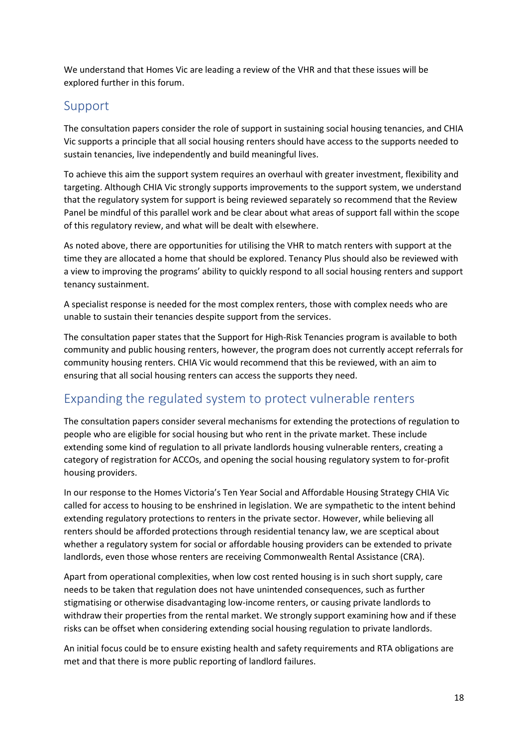We understand that Homes Vic are leading a review of the VHR and that these issues will be explored further in this forum.

### Support

The consultation papers consider the role of support in sustaining social housing tenancies, and CHIA Vic supports a principle that all social housing renters should have access to the supports needed to sustain tenancies, live independently and build meaningful lives.

To achieve this aim the support system requires an overhaul with greater investment, flexibility and targeting. Although CHIA Vic strongly supports improvements to the support system, we understand that the regulatory system for support is being reviewed separately so recommend that the Review Panel be mindful of this parallel work and be clear about what areas of support fall within the scope of this regulatory review, and what will be dealt with elsewhere.

As noted above, there are opportunities for utilising the VHR to match renters with support at the time they are allocated a home that should be explored. Tenancy Plus should also be reviewed with a view to improving the programs' ability to quickly respond to all social housing renters and support tenancy sustainment.

A specialist response is needed for the most complex renters, those with complex needs who are unable to sustain their tenancies despite support from the services.

The consultation paper states that the Support for High-Risk Tenancies program is available to both community and public housing renters, however, the program does not currently accept referrals for community housing renters. CHIA Vic would recommend that this be reviewed, with an aim to ensuring that all social housing renters can access the supports they need.

### Expanding the regulated system to protect vulnerable renters

The consultation papers consider several mechanisms for extending the protections of regulation to people who are eligible for social housing but who rent in the private market. These include extending some kind of regulation to all private landlords housing vulnerable renters, creating a category of registration for ACCOs, and opening the social housing regulatory system to for-profit housing providers.

In our response to the Homes Victoria's Ten Year Social and Affordable Housing Strategy CHIA Vic called for access to housing to be enshrined in legislation. We are sympathetic to the intent behind extending regulatory protections to renters in the private sector. However, while believing all renters should be afforded protections through residential tenancy law, we are sceptical about whether a regulatory system for social or affordable housing providers can be extended to private landlords, even those whose renters are receiving Commonwealth Rental Assistance (CRA).

Apart from operational complexities, when low cost rented housing is in such short supply, care needs to be taken that regulation does not have unintended consequences, such as further stigmatising or otherwise disadvantaging low-income renters, or causing private landlords to withdraw their properties from the rental market. We strongly support examining how and if these risks can be offset when considering extending social housing regulation to private landlords.

An initial focus could be to ensure existing health and safety requirements and RTA obligations are met and that there is more public reporting of landlord failures.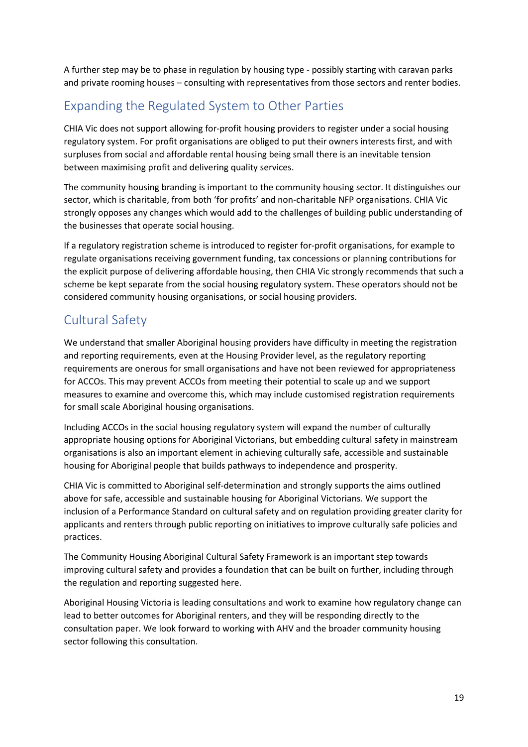A further step may be to phase in regulation by housing type - possibly starting with caravan parks and private rooming houses – consulting with representatives from those sectors and renter bodies.

# Expanding the Regulated System to Other Parties

CHIA Vic does not support allowing for-profit housing providers to register under a social housing regulatory system. For profit organisations are obliged to put their owners interests first, and with surpluses from social and affordable rental housing being small there is an inevitable tension between maximising profit and delivering quality services.

The community housing branding is important to the community housing sector. It distinguishes our sector, which is charitable, from both 'for profits' and non-charitable NFP organisations. CHIA Vic strongly opposes any changes which would add to the challenges of building public understanding of the businesses that operate social housing.

If a regulatory registration scheme is introduced to register for-profit organisations, for example to regulate organisations receiving government funding, tax concessions or planning contributions for the explicit purpose of delivering affordable housing, then CHIA Vic strongly recommends that such a scheme be kept separate from the social housing regulatory system. These operators should not be considered community housing organisations, or social housing providers.

### Cultural Safety

We understand that smaller Aboriginal housing providers have difficulty in meeting the registration and reporting requirements, even at the Housing Provider level, as the regulatory reporting requirements are onerous for small organisations and have not been reviewed for appropriateness for ACCOs. This may prevent ACCOs from meeting their potential to scale up and we support measures to examine and overcome this, which may include customised registration requirements for small scale Aboriginal housing organisations.

Including ACCOs in the social housing regulatory system will expand the number of culturally appropriate housing options for Aboriginal Victorians, but embedding cultural safety in mainstream organisations is also an important element in achieving culturally safe, accessible and sustainable housing for Aboriginal people that builds pathways to independence and prosperity.

CHIA Vic is committed to Aboriginal self-determination and strongly supports the aims outlined above for safe, accessible and sustainable housing for Aboriginal Victorians. We support the inclusion of a Performance Standard on cultural safety and on regulation providing greater clarity for applicants and renters through public reporting on initiatives to improve culturally safe policies and practices.

The Community Housing Aboriginal Cultural Safety Framework is an important step towards improving cultural safety and provides a foundation that can be built on further, including through the regulation and reporting suggested here.

Aboriginal Housing Victoria is leading consultations and work to examine how regulatory change can lead to better outcomes for Aboriginal renters, and they will be responding directly to the consultation paper. We look forward to working with AHV and the broader community housing sector following this consultation.